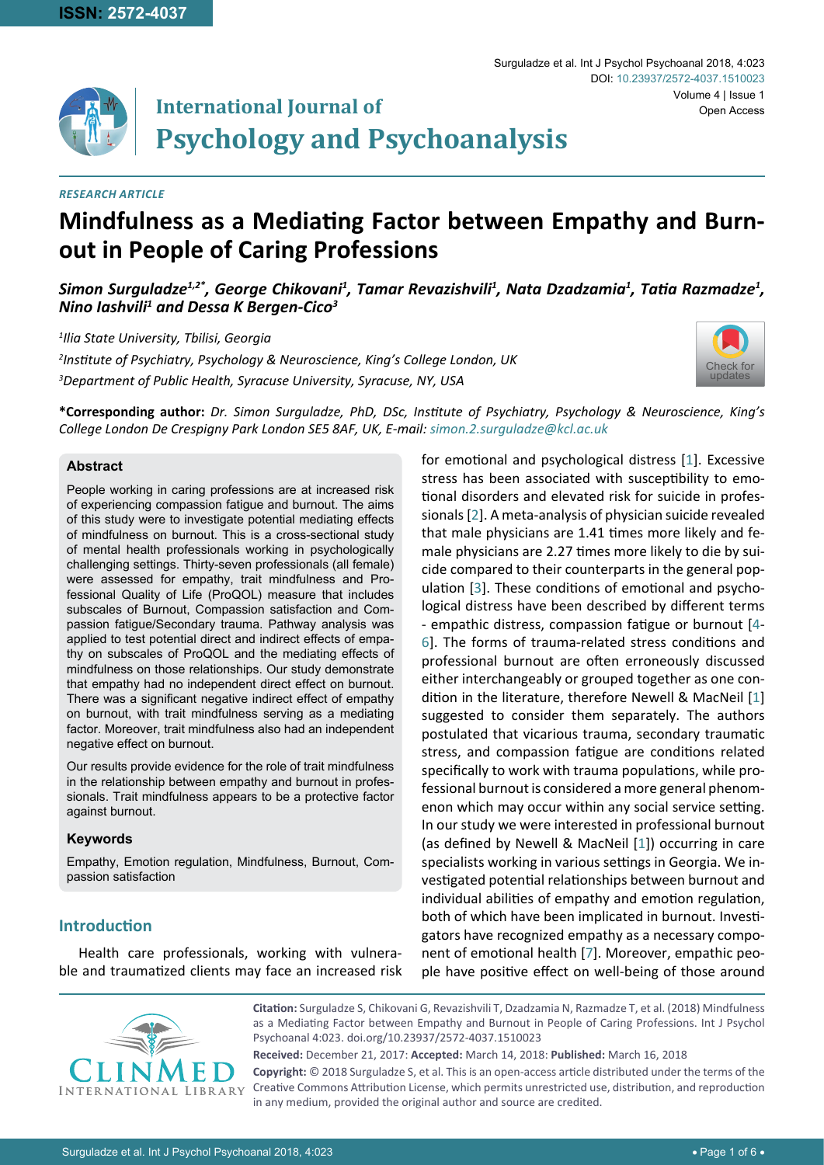

# **International Journal of Psychology and Psychoanalysis**

#### *RESEARCH ARTICLE*

# **Mindfulness as a Mediating Factor between Empathy and Burnout in People of Caring Professions**

*Simon Surguladze1,2\*, George Chikovani1 , Tamar Revazishvili1 , Nata Dzadzamia1 , Tatia Razmadze<sup>1</sup> , Nino Iashvili1 and Dessa K Bergen-Cico3*

*1 Ilia State University, Tbilisi, Georgia 2 Institute of Psychiatry, Psychology & Neuroscience, King's College London, UK 3 Department of Public Health, Syracuse University, Syracuse, NY, USA*



Volume 4 | Issue 1

Open Access

DOI: [10.23937/2572-4037.1510023](https://doi.org/10.23937/2572-4037.1510023)

Surguladze et al. Int J Psychol Psychoanal 2018, 4:023

**\*Corresponding author:** *Dr. Simon Surguladze, PhD, DSc, Institute of Psychiatry, Psychology & Neuroscience, King's College London De Crespigny Park London SE5 8AF, UK, E-mail: simon.2.surguladze@kcl.ac.uk*

#### **Abstract**

People working in caring professions are at increased risk of experiencing compassion fatigue and burnout. The aims of this study were to investigate potential mediating effects of mindfulness on burnout. This is a cross-sectional study of mental health professionals working in psychologically challenging settings. Thirty-seven professionals (all female) were assessed for empathy, trait mindfulness and Professional Quality of Life (ProQOL) measure that includes subscales of Burnout, Compassion satisfaction and Compassion fatigue/Secondary trauma. Pathway analysis was applied to test potential direct and indirect effects of empathy on subscales of ProQOL and the mediating effects of mindfulness on those relationships. Our study demonstrate that empathy had no independent direct effect on burnout. There was a significant negative indirect effect of empathy on burnout, with trait mindfulness serving as a mediating factor. Moreover, trait mindfulness also had an independent negative effect on burnout.

Our results provide evidence for the role of trait mindfulness in the relationship between empathy and burnout in professionals. Trait mindfulness appears to be a protective factor against burnout.

#### **Keywords**

Empathy, Emotion regulation, Mindfulness, Burnout, Compassion satisfaction

# **Introduction**

Health care professionals, working with vulnerable and traumatized clients may face an increased risk for emotional and psychological distress [[1](#page-4-0)]. Excessive stress has been associated with susceptibility to emotional disorders and elevated risk for suicide in professionals [[2](#page-4-1)]. A meta-analysis of physician suicide revealed that male physicians are 1.41 times more likely and female physicians are 2.27 times more likely to die by suicide compared to their counterparts in the general population [[3](#page-4-2)]. These conditions of emotional and psychological distress have been described by different terms - empathic distress, compassion fatigue or burnout [[4](#page-4-3)- [6](#page-4-4)]. The forms of trauma-related stress conditions and professional burnout are often erroneously discussed either interchangeably or grouped together as one condition in the literature, therefore Newell & MacNeil [[1](#page-4-0)] suggested to consider them separately. The authors postulated that vicarious trauma, secondary traumatic stress, and compassion fatigue are conditions related specifically to work with trauma populations, while professional burnout is considered a more general phenomenon which may occur within any social service setting. In our study we were interested in professional burnout (as defined by Newell & MacNeil [[1](#page-4-0)]) occurring in care specialists working in various settings in Georgia. We investigated potential relationships between burnout and individual abilities of empathy and emotion regulation, both of which have been implicated in burnout. Investigators have recognized empathy as a necessary component of emotional health [\[7\]](#page-4-5). Moreover, empathic people have positive effect on well-being of those around



**Citation:** Surguladze S, Chikovani G, Revazishvili T, Dzadzamia N, Razmadze T, et al. (2018) Mindfulness as a Mediating Factor between Empathy and Burnout in People of Caring Professions. Int J Psychol Psychoanal 4:023. [doi.org/10.23937/2572-4037.1510023](https://doi.org/10.23937/2572-4037.1510023)

**Received:** December 21, 2017: **Accepted:** March 14, 2018: **Published:** March 16, 2018 **Copyright:** © 2018 Surguladze S, et al. This is an open-access article distributed under the terms of the Creative Commons Attribution License, which permits unrestricted use, distribution, and reproduction in any medium, provided the original author and source are credited.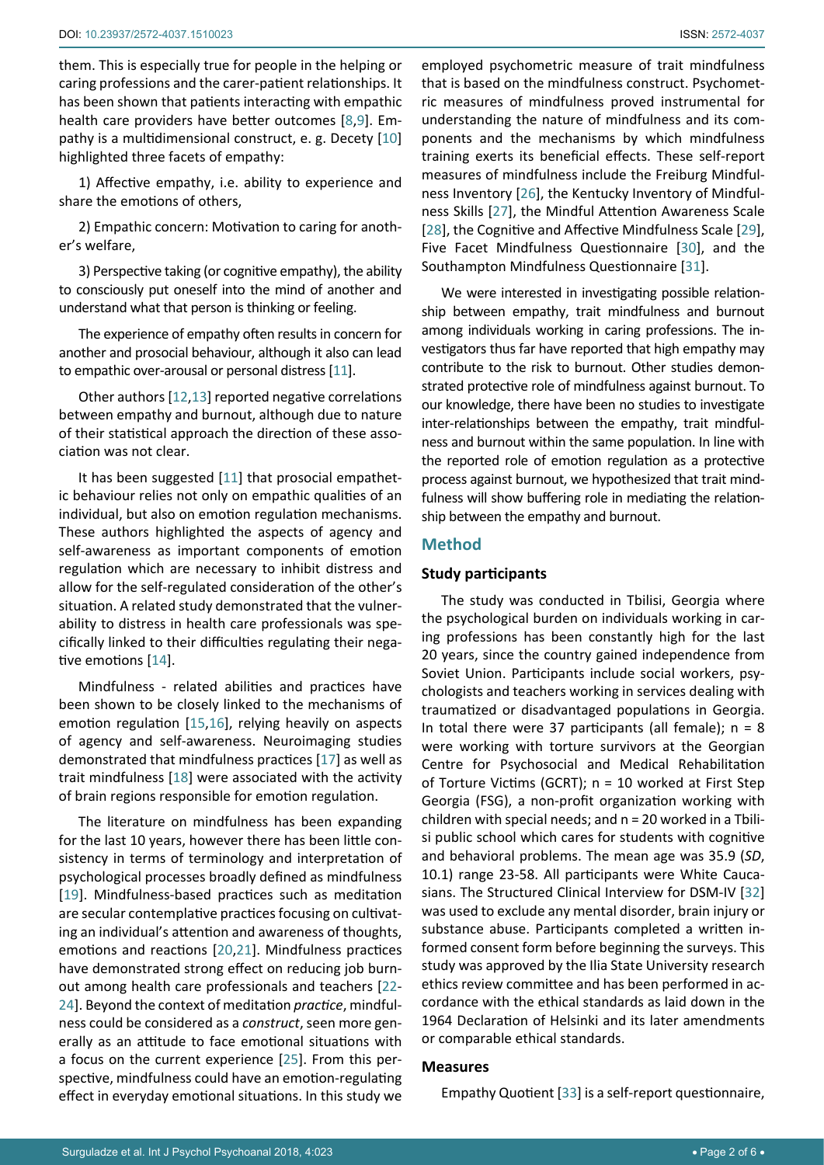them. This is especially true for people in the helping or caring professions and the carer-patient relationships. It has been shown that patients interacting with empathic health care providers have better outcomes [[8](#page-4-6),[9](#page-4-7)]. Empathy is a multidimensional construct, e. g. Decety [[10](#page-4-8)] highlighted three facets of empathy:

1) Affective empathy, i.e. ability to experience and share the emotions of others,

2) Empathic concern: Motivation to caring for another's welfare,

3) Perspective taking (or cognitive empathy), the ability to consciously put oneself into the mind of another and understand what that person is thinking or feeling.

The experience of empathy often results in concern for another and prosocial behaviour, although it also can lead to empathic over-arousal or personal distress [[11](#page-4-9)].

Other authors [[12,](#page-4-10)[13\]](#page-4-11) reported negative correlations between empathy and burnout, although due to nature of their statistical approach the direction of these association was not clear.

It has been suggested [[11](#page-4-9)] that prosocial empathetic behaviour relies not only on empathic qualities of an individual, but also on emotion regulation mechanisms. These authors highlighted the aspects of agency and self-awareness as important components of emotion regulation which are necessary to inhibit distress and allow for the self-regulated consideration of the other's situation. A related study demonstrated that the vulnerability to distress in health care professionals was specifically linked to their difficulties regulating their negative emotions [[14](#page-4-12)].

Mindfulness - related abilities and practices have been shown to be closely linked to the mechanisms of emotion regulation [\[15](#page-4-13),[16](#page-4-14)], relying heavily on aspects of agency and self-awareness. Neuroimaging studies demonstrated that mindfulness practices [[17\]](#page-4-15) as well as trait mindfulness [[18](#page-4-16)] were associated with the activity of brain regions responsible for emotion regulation.

The literature on mindfulness has been expanding for the last 10 years, however there has been little consistency in terms of terminology and interpretation of psychological processes broadly defined as mindfulness [[19](#page-4-17)]. Mindfulness-based practices such as meditation are secular contemplative practices focusing on cultivating an individual's attention and awareness of thoughts, emotions and reactions [[20](#page-4-18),[21](#page-4-19)]. Mindfulness practices have demonstrated strong effect on reducing job burnout among health care professionals and teachers [[22](#page-4-20)- [24\]](#page-4-21). Beyond the context of meditation *practice*, mindfulness could be considered as a *construct*, seen more generally as an attitude to face emotional situations with a focus on the current experience [[25\]](#page-4-22). From this perspective, mindfulness could have an emotion-regulating effect in everyday emotional situations. In this study we

employed psychometric measure of trait mindfulness that is based on the mindfulness construct. Psychometric measures of mindfulness proved instrumental for understanding the nature of mindfulness and its components and the mechanisms by which mindfulness training exerts its beneficial effects. These self-report measures of mindfulness include the Freiburg Mindfulness Inventory [\[26](#page-4-23)], the Kentucky Inventory of Mindfulness Skills [\[27](#page-4-24)], the Mindful Attention Awareness Scale [[28](#page-4-25)], the Cognitive and Affective Mindfulness Scale [\[29](#page-4-26)], Five Facet Mindfulness Questionnaire [\[30](#page-5-0)], and the Southampton Mindfulness Questionnaire [\[31](#page-5-1)].

We were interested in investigating possible relationship between empathy, trait mindfulness and burnout among individuals working in caring professions. The investigators thus far have reported that high empathy may contribute to the risk to burnout. Other studies demonstrated protective role of mindfulness against burnout. To our knowledge, there have been no studies to investigate inter-relationships between the empathy, trait mindfulness and burnout within the same population. In line with the reported role of emotion regulation as a protective process against burnout, we hypothesized that trait mindfulness will show buffering role in mediating the relationship between the empathy and burnout.

# **Method**

#### **Study participants**

The study was conducted in Tbilisi, Georgia where the psychological burden on individuals working in caring professions has been constantly high for the last 20 years, since the country gained independence from Soviet Union. Participants include social workers, psychologists and teachers working in services dealing with traumatized or disadvantaged populations in Georgia. In total there were 37 participants (all female);  $n = 8$ were working with torture survivors at the Georgian Centre for Psychosocial and Medical Rehabilitation of Torture Victims (GCRT); n = 10 worked at First Step Georgia (FSG), a non-profit organization working with children with special needs; and  $n = 20$  worked in a Tbilisi public school which cares for students with cognitive and behavioral problems. The mean age was 35.9 (*SD*, 10.1) range 23-58. All participants were White Caucasians. The Structured Clinical Interview for DSM-IV [\[32](#page-5-2)] was used to exclude any mental disorder, brain injury or substance abuse. Participants completed a written informed consent form before beginning the surveys. This study was approved by the Ilia State University research ethics review committee and has been performed in accordance with the ethical standards as laid down in the 1964 Declaration of Helsinki and its later amendments or comparable ethical standards.

# **Measures**

Empathy Quotient [[33](#page-5-3)] is a self-report questionnaire,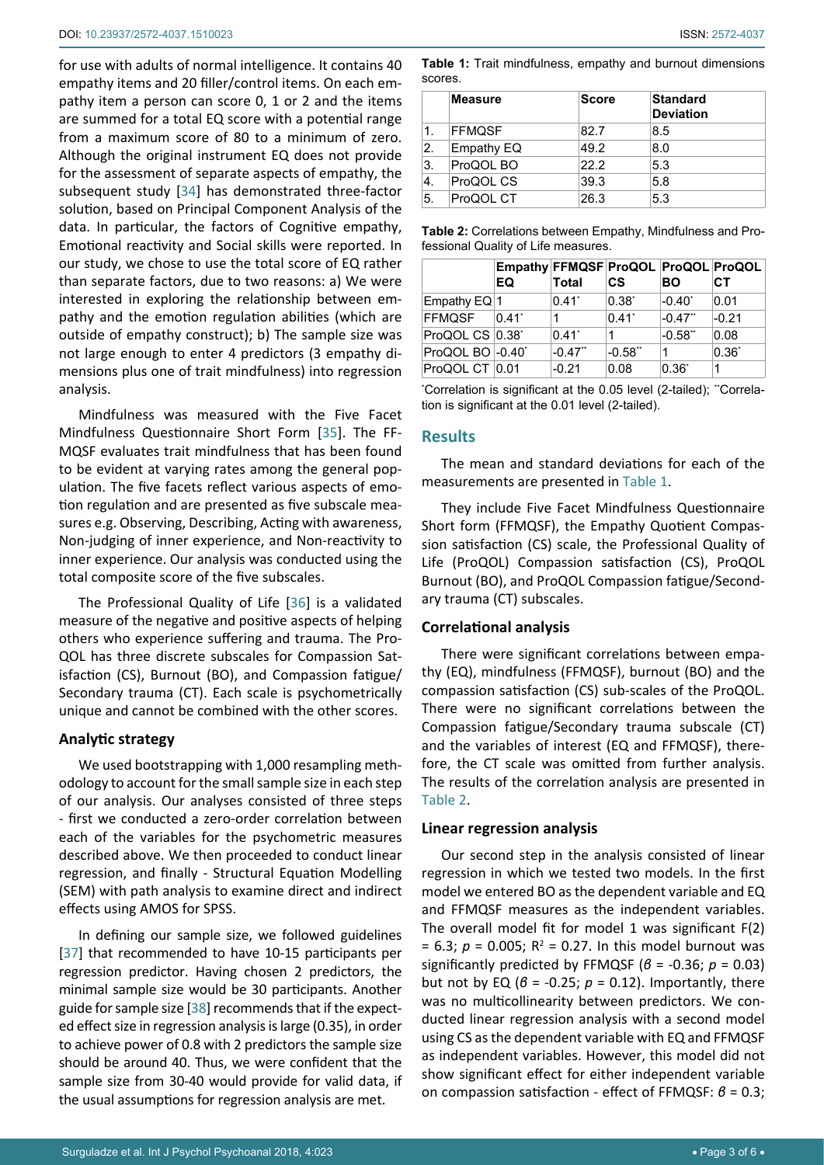for use with adults of normal intelligence. It contains 40 empathy items and 20 filler/control items. On each empathy item a person can score 0, 1 or 2 and the items are summed for a total EQ score with a potential range from a maximum score of 80 to a minimum of zero. Although the original instrument EQ does not provide for the assessment of separate aspects of empathy, the subsequent study [[34\]](#page-5-4) has demonstrated three-factor solution, based on Principal Component Analysis of the data. In particular, the factors of Cognitive empathy, Emotional reactivity and Social skills were reported. In our study, we chose to use the total score of EQ rather than separate factors, due to two reasons: a) We were interested in exploring the relationship between empathy and the emotion regulation abilities (which are outside of empathy construct); b) The sample size was not large enough to enter 4 predictors (3 empathy dimensions plus one of trait mindfulness) into regression analysis.

Mindfulness was measured with the Five Facet Mindfulness Questionnaire Short Form [[35\]](#page-5-5). The FF-MQSF evaluates trait mindfulness that has been found to be evident at varying rates among the general population. The five facets reflect various aspects of emotion regulation and are presented as five subscale measures e.g. Observing, Describing, Acting with awareness, Non-judging of inner experience, and Non-reactivity to inner experience. Our analysis was conducted using the total composite score of the five subscales.

The Professional Quality of Life [[36](#page-5-6)] is a validated measure of the negative and positive aspects of helping others who experience suffering and trauma. The Pro-QOL has three discrete subscales for Compassion Satisfaction (CS), Burnout (BO), and Compassion fatigue/ Secondary trauma (CT). Each scale is psychometrically unique and cannot be combined with the other scores.

# **Analytic strategy**

We used bootstrapping with 1,000 resampling methodology to account for the small sample size in each step of our analysis. Our analyses consisted of three steps - first we conducted a zero-order correlation between each of the variables for the psychometric measures described above. We then proceeded to conduct linear regression, and finally - Structural Equation Modelling (SEM) with path analysis to examine direct and indirect effects using AMOS for SPSS.

In defining our sample size, we followed guidelines [[37\]](#page-5-7) that recommended to have 10-15 participants per regression predictor. Having chosen 2 predictors, the minimal sample size would be 30 participants. Another guide for sample size [\[38](#page-5-8)] recommends that if the expected effect size in regression analysis is large (0.35), in order to achieve power of 0.8 with 2 predictors the sample size should be around 40. Thus, we were confident that the sample size from 30-40 would provide for valid data, if the usual assumptions for regression analysis are met.

<span id="page-2-0"></span>**Table 1:** Trait mindfulness, empathy and burnout dimensions scores.

|     | <b>Measure</b> | Score | <b>Standard</b><br><b>Deviation</b> |
|-----|----------------|-------|-------------------------------------|
| 1.  | <b>FFMQSF</b>  | 82.7  | 8.5                                 |
| 2.  | Empathy EQ     | 49.2  | 8.0                                 |
| ΙЗ. | ProQOL BO      | 22.2  | 5.3                                 |
| 4.  | ProQOL CS      | 39.3  | 5.8                                 |
| 5.  | ProQOL CT      | 26.3  | 5.3                                 |

<span id="page-2-1"></span>

| <b>Table 2:</b> Correlations between Empathy, Mindfulness and Pro- |  |
|--------------------------------------------------------------------|--|
| fessional Quality of Life measures.                                |  |

|                  | Empathy FFMQSF ProQOL ProQOL ProQOL<br>EQ | <b>Total</b>          | <b>CS</b>           | <b>BO</b>             | СT         |
|------------------|-------------------------------------------|-----------------------|---------------------|-----------------------|------------|
| Empathy $EQ$ 1   |                                           | $0.41^*$              | $0.38^*$            | $-0.40^{\circ}$       | 0.01       |
| FFMQSF           | $0.41$ <sup>*</sup>                       |                       | $0.41$ <sup>*</sup> | $-0.47$ <sup>**</sup> | $-0.21$    |
| ProQOL CS 0.38*  |                                           | $0.41^*$              | 1                   | $-0.58"$              | 0.08       |
| ProQOL BO -0.40* |                                           | $-0.47$ <sup>**</sup> | $-0.58"$            | 1                     | $0.36^{*}$ |
| ProQOL CT 0.01   |                                           | $-0.21$               | 0.08                | $0.36^*$              | 1          |

'Correlation is significant at the 0.05 level (2-tailed); "Correlation is significant at the 0.01 level (2-tailed).

#### **Results**

The mean and standard deviations for each of the measurements are presented in [Table 1](#page-2-0).

They include Five Facet Mindfulness Questionnaire Short form (FFMQSF), the Empathy Quotient Compassion satisfaction (CS) scale, the Professional Quality of Life (ProQOL) Compassion satisfaction (CS), ProQOL Burnout (BO), and ProQOL Compassion fatigue/Secondary trauma (CT) subscales.

#### **Correlational analysis**

There were significant correlations between empathy (EQ), mindfulness (FFMQSF), burnout (BO) and the compassion satisfaction (CS) sub-scales of the ProQOL. There were no significant correlations between the Compassion fatigue/Secondary trauma subscale (CT) and the variables of interest (EQ and FFMQSF), therefore, the CT scale was omitted from further analysis. The results of the correlation analysis are presented in [Table 2](#page-2-1).

#### **Linear regression analysis**

Our second step in the analysis consisted of linear regression in which we tested two models. In the first model we entered BO as the dependent variable and EQ and FFMQSF measures as the independent variables. The overall model fit for model 1 was significant F(2)  $= 6.3; p = 0.005; R<sup>2</sup> = 0.27.$  In this model burnout was significantly predicted by FFMQSF (*β* = -0.36; *p* = 0.03) but not by EQ ( $\beta$  = -0.25;  $p$  = 0.12). Importantly, there was no multicollinearity between predictors. We conducted linear regression analysis with a second model using CS as the dependent variable with EQ and FFMQSF as independent variables. However, this model did not show significant effect for either independent variable on compassion satisfaction - effect of FFMQSF: *β* = 0.3;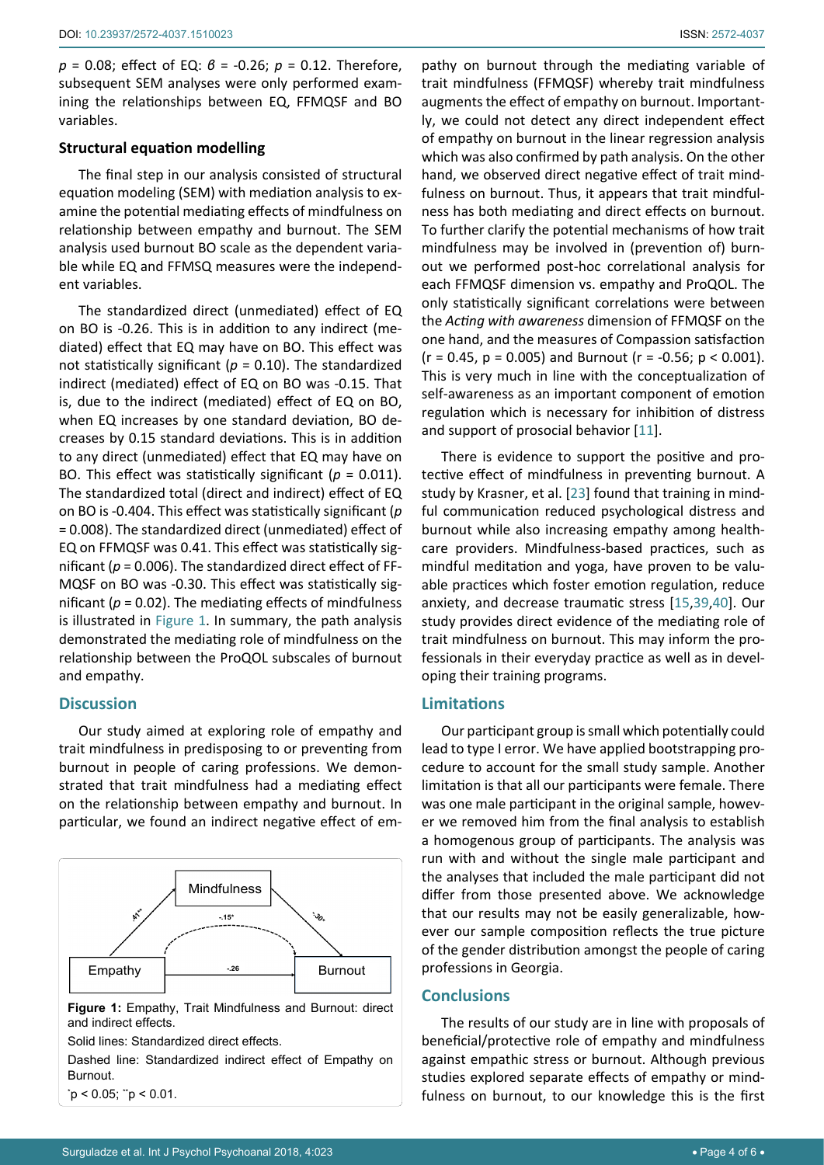*p* = 0.08; effect of EQ: *β* = -0.26; *p* = 0.12. Therefore, subsequent SEM analyses were only performed examining the relationships between EQ, FFMQSF and BO variables.

#### **Structural equation modelling**

The final step in our analysis consisted of structural equation modeling (SEM) with mediation analysis to examine the potential mediating effects of mindfulness on relationship between empathy and burnout. The SEM analysis used burnout BO scale as the dependent variable while EQ and FFMSQ measures were the independent variables.

The standardized direct (unmediated) effect of EQ on BO is -0.26. This is in addition to any indirect (mediated) effect that EQ may have on BO. This effect was not statistically significant (*p* = 0.10). The standardized indirect (mediated) effect of EQ on BO was -0.15. That is, due to the indirect (mediated) effect of EQ on BO, when EQ increases by one standard deviation, BO decreases by 0.15 standard deviations. This is in addition to any direct (unmediated) effect that EQ may have on BO. This effect was statistically significant (*p* = 0.011). The standardized total (direct and indirect) effect of EQ on BO is -0.404. This effect was statistically significant (*p*  = 0.008). The standardized direct (unmediated) effect of EQ on FFMQSF was 0.41. This effect was statistically significant (*p* = 0.006). The standardized direct effect of FF-MQSF on BO was -0.30. This effect was statistically significant ( $p = 0.02$ ). The mediating effects of mindfulness is illustrated in [Figure 1.](#page-3-0) In summary, the path analysis demonstrated the mediating role of mindfulness on the relationship between the ProQOL subscales of burnout and empathy.

# **Discussion**

Our study aimed at exploring role of empathy and trait mindfulness in predisposing to or preventing from burnout in people of caring professions. We demonstrated that trait mindfulness had a mediating effect on the relationship between empathy and burnout. In particular, we found an indirect negative effect of em-

<span id="page-3-0"></span>

\* p < 0.05; \*\*p < 0.01.

pathy on burnout through the mediating variable of trait mindfulness (FFMQSF) whereby trait mindfulness augments the effect of empathy on burnout. Importantly, we could not detect any direct independent effect of empathy on burnout in the linear regression analysis which was also confirmed by path analysis. On the other hand, we observed direct negative effect of trait mindfulness on burnout. Thus, it appears that trait mindfulness has both mediating and direct effects on burnout. To further clarify the potential mechanisms of how trait mindfulness may be involved in (prevention of) burnout we performed post-hoc correlational analysis for each FFMQSF dimension vs. empathy and ProQOL. The only statistically significant correlations were between the *Acting with awareness* dimension of FFMQSF on the one hand, and the measures of Compassion satisfaction  $(r = 0.45, p = 0.005)$  and Burnout  $(r = -0.56; p < 0.001)$ . This is very much in line with the conceptualization of self-awareness as an important component of emotion regulation which is necessary for inhibition of distress and support of prosocial behavior [[11\]](#page-4-9).

There is evidence to support the positive and protective effect of mindfulness in preventing burnout. A study by Krasner, et al. [\[23](#page-4-27)] found that training in mindful communication reduced psychological distress and burnout while also increasing empathy among healthcare providers. Mindfulness-based practices, such as mindful meditation and yoga, have proven to be valuable practices which foster emotion regulation, reduce anxiety, and decrease traumatic stress [\[15](#page-4-13),[39](#page-5-9),[40](#page-5-10)]. Our study provides direct evidence of the mediating role of trait mindfulness on burnout. This may inform the professionals in their everyday practice as well as in developing their training programs.

### **Limitations**

Our participant group is small which potentially could lead to type I error. We have applied bootstrapping procedure to account for the small study sample. Another limitation is that all our participants were female. There was one male participant in the original sample, however we removed him from the final analysis to establish a homogenous group of participants. The analysis was run with and without the single male participant and the analyses that included the male participant did not differ from those presented above. We acknowledge that our results may not be easily generalizable, however our sample composition reflects the true picture of the gender distribution amongst the people of caring professions in Georgia.

#### **Conclusions**

The results of our study are in line with proposals of beneficial/protective role of empathy and mindfulness against empathic stress or burnout. Although previous studies explored separate effects of empathy or mindfulness on burnout, to our knowledge this is the first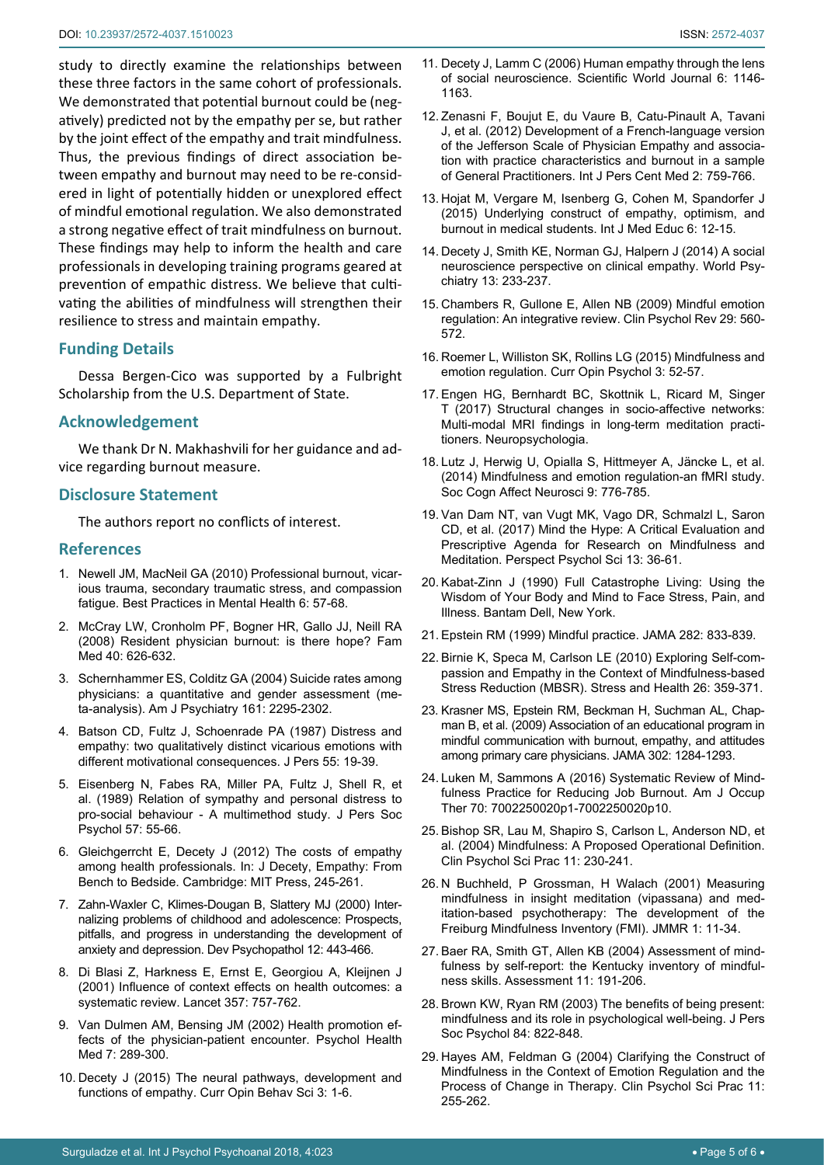study to directly examine the relationships between these three factors in the same cohort of professionals. We demonstrated that potential burnout could be (negatively) predicted not by the empathy per se, but rather by the joint effect of the empathy and trait mindfulness. Thus, the previous findings of direct association between empathy and burnout may need to be re-considered in light of potentially hidden or unexplored effect of mindful emotional regulation. We also demonstrated a strong negative effect of trait mindfulness on burnout. These findings may help to inform the health and care professionals in developing training programs geared at prevention of empathic distress. We believe that cultivating the abilities of mindfulness will strengthen their resilience to stress and maintain empathy.

# **Funding Details**

Dessa Bergen-Cico was supported by a Fulbright Scholarship from the U.S. Department of State.

# **Acknowledgement**

We thank Dr N. Makhashvili for her guidance and advice regarding burnout measure.

# **Disclosure Statement**

The authors report no conflicts of interest.

#### **References**

- <span id="page-4-0"></span>1. [Newell JM, MacNeil GA \(2010\) Professional burnout, vicar](http://psycnet.apa.org/record/2010-23187-006)[ious trauma, secondary traumatic stress, and compassion](http://psycnet.apa.org/record/2010-23187-006)  [fatigue. Best Practices in Mental Health 6: 57-68.](http://psycnet.apa.org/record/2010-23187-006)
- <span id="page-4-1"></span>2. [McCray LW, Cronholm PF, Bogner HR, Gallo JJ, Neill RA](http://www.ncbi.nlm.nih.gov/pubmed/)  [\(2008\) Resident physician burnout: is there hope? Fam](http://www.ncbi.nlm.nih.gov/pubmed/)  [Med 40: 626-632.](http://www.ncbi.nlm.nih.gov/pubmed/)
- <span id="page-4-2"></span>3. [Schernhammer ES, Colditz GA \(2004\) Suicide rates among](https://www.ncbi.nlm.nih.gov/pubmed/15569903)  [physicians: a quantitative and gender assessment \(me](https://www.ncbi.nlm.nih.gov/pubmed/15569903)[ta-analysis\). Am J Psychiatry 161: 2295-2302.](https://www.ncbi.nlm.nih.gov/pubmed/15569903)
- <span id="page-4-3"></span>4. [Batson CD, Fultz J, Schoenrade PA \(1987\) Distress and](https://www.ncbi.nlm.nih.gov/pubmed/3572705)  [empathy: two qualitatively distinct vicarious emotions with](https://www.ncbi.nlm.nih.gov/pubmed/3572705)  [different motivational consequences. J Pers 55: 19-39.](https://www.ncbi.nlm.nih.gov/pubmed/3572705)
- 5. [Eisenberg N, Fabes RA, Miller PA, Fultz J, Shell R, et](https://www.ncbi.nlm.nih.gov/pubmed/2754604)  [al. \(1989\) Relation of sympathy and personal distress to](https://www.ncbi.nlm.nih.gov/pubmed/2754604)  [pro-social behaviour - A multimethod study. J Pers Soc](https://www.ncbi.nlm.nih.gov/pubmed/2754604)  [Psychol 57: 55-66.](https://www.ncbi.nlm.nih.gov/pubmed/2754604)
- <span id="page-4-4"></span>6. [Gleichgerrcht E, Decety J \(2012\) The costs of empathy](http://mitpress.universitypressscholarship.com/view/10.7551/mitpress/9780262016612.001.0001/upso-9780262016612-chapter-14)  [among health professionals. In: J Decety, Empathy: From](http://mitpress.universitypressscholarship.com/view/10.7551/mitpress/9780262016612.001.0001/upso-9780262016612-chapter-14)  [Bench to Bedside. Cambridge: MIT Press, 245-261.](http://mitpress.universitypressscholarship.com/view/10.7551/mitpress/9780262016612.001.0001/upso-9780262016612-chapter-14)
- <span id="page-4-5"></span>7. [Zahn-Waxler C, Klimes-Dougan B, Slattery MJ \(2000\) Inter](https://www.ncbi.nlm.nih.gov/pubmed/11014747)[nalizing problems of childhood and adolescence: Prospects,](https://www.ncbi.nlm.nih.gov/pubmed/11014747)  [pitfalls, and progress in understanding the development of](https://www.ncbi.nlm.nih.gov/pubmed/11014747)  [anxiety and depression. Dev Psychopathol 12: 443-466.](https://www.ncbi.nlm.nih.gov/pubmed/11014747)
- <span id="page-4-6"></span>8. [Di Blasi Z, Harkness E, Ernst E, Georgiou A, Kleijnen J](https://www.ncbi.nlm.nih.gov/pubmed/11253970)  [\(2001\) Influence of context effects on health outcomes: a](https://www.ncbi.nlm.nih.gov/pubmed/11253970)  [systematic review. Lancet 357: 757-762.](https://www.ncbi.nlm.nih.gov/pubmed/11253970)
- <span id="page-4-7"></span>9. [Van Dulmen AM, Bensing JM \(2002\) Health promotion ef](https://www.tandfonline.com/doi/abs/10.1080/13548500220139421)[fects of the physician-patient encounter. Psychol Health](https://www.tandfonline.com/doi/abs/10.1080/13548500220139421)  [Med 7: 289-300.](https://www.tandfonline.com/doi/abs/10.1080/13548500220139421)
- <span id="page-4-8"></span>10. [Decety J \(2015\) The neural pathways, development and](https://www.sciencedirect.com/science/article/pii/S2352154614000321)  [functions of empathy. Curr Opin Behav Sci 3: 1-6.](https://www.sciencedirect.com/science/article/pii/S2352154614000321)
- <span id="page-4-9"></span>11. [Decety J, Lamm C \(2006\) Human empathy through the lens](https://www.ncbi.nlm.nih.gov/pubmed/16998603)  [of social neuroscience. Scientific World Journal 6: 1146-](https://www.ncbi.nlm.nih.gov/pubmed/16998603) [1163.](https://www.ncbi.nlm.nih.gov/pubmed/16998603)
- <span id="page-4-10"></span>12. [Zenasni F, Boujut E, du Vaure B, Catu-Pinault A, Tavani](http://www.ijpcm.org/index.php/IJPCM/article/view/295)  [J, et al. \(2012\) Development of a French-language version](http://www.ijpcm.org/index.php/IJPCM/article/view/295)  [of the Jefferson Scale of Physician Empathy and associa](http://www.ijpcm.org/index.php/IJPCM/article/view/295)[tion with practice characteristics and burnout in a sample](http://www.ijpcm.org/index.php/IJPCM/article/view/295)  [of General Practitioners. Int J Pers Cent Med 2: 759-766.](http://www.ijpcm.org/index.php/IJPCM/article/view/295)
- <span id="page-4-11"></span>13. [Hojat M, Vergare M, Isenberg G, Cohen M, Spandorfer J](https://www.ncbi.nlm.nih.gov/pubmed/25633650)  [\(2015\) Underlying construct of empathy, optimism, and](https://www.ncbi.nlm.nih.gov/pubmed/25633650)  [burnout in medical students. Int J Med Educ 6: 12-15.](https://www.ncbi.nlm.nih.gov/pubmed/25633650)
- <span id="page-4-12"></span>14. [Decety J, Smith KE, Norman GJ, Halpern J \(2014\) A social](https://www.ncbi.nlm.nih.gov/pubmed/25273287)  [neuroscience perspective on clinical empathy. World Psy](https://www.ncbi.nlm.nih.gov/pubmed/25273287)[chiatry 13: 233-237.](https://www.ncbi.nlm.nih.gov/pubmed/25273287)
- <span id="page-4-13"></span>15. [Chambers R, Gullone E, Allen NB \(2009\) Mindful emotion](https://www.ncbi.nlm.nih.gov/pubmed/19632752)  [regulation: An integrative review. Clin Psychol Rev 29: 560-](https://www.ncbi.nlm.nih.gov/pubmed/19632752) [572.](https://www.ncbi.nlm.nih.gov/pubmed/19632752)
- <span id="page-4-14"></span>16. [Roemer L, Williston SK, Rollins LG \(2015\) Mindfulness and](https://www.sciencedirect.com/science/article/pii/S2352250X15000974)  [emotion regulation. Curr Opin Psychol 3: 52-57.](https://www.sciencedirect.com/science/article/pii/S2352250X15000974)
- <span id="page-4-15"></span>17. [Engen HG, Bernhardt BC, Skottnik L, Ricard M, Singer](https://www.ncbi.nlm.nih.gov/pubmed/28842274)  [T \(2017\) Structural changes in socio-affective networks:](https://www.ncbi.nlm.nih.gov/pubmed/28842274)  [Multi-modal MRI findings in long-term meditation practi](https://www.ncbi.nlm.nih.gov/pubmed/28842274)[tioners. Neuropsychologia.](https://www.ncbi.nlm.nih.gov/pubmed/28842274)
- <span id="page-4-16"></span>18. [Lutz J, Herwig U, Opialla S, Hittmeyer A, Jäncke L, et al.](https://www.ncbi.nlm.nih.gov/pubmed/23563850)  [\(2014\) Mindfulness and emotion regulation-an fMRI study.](https://www.ncbi.nlm.nih.gov/pubmed/23563850)  [Soc Cogn Affect Neurosci 9: 776-785.](https://www.ncbi.nlm.nih.gov/pubmed/23563850)
- <span id="page-4-17"></span>19. [Van Dam NT, van Vugt MK, Vago DR, Schmalzl L, Saron](https://www.ncbi.nlm.nih.gov/pubmed/29016274)  [CD, et al. \(2017\) Mind the Hype: A Critical Evaluation and](https://www.ncbi.nlm.nih.gov/pubmed/29016274)  [Prescriptive Agenda for Research on Mindfulness and](https://www.ncbi.nlm.nih.gov/pubmed/29016274)  [Meditation. Perspect Psychol Sci 13: 36-61.](https://www.ncbi.nlm.nih.gov/pubmed/29016274)
- <span id="page-4-18"></span>20. Kabat-Zinn J (1990) Full Catastrophe Living: Using the Wisdom of Your Body and Mind to Face Stress, Pain, and Illness. Bantam Dell, New York.
- <span id="page-4-19"></span>21. [Epstein RM \(1999\) Mindful practice. JAMA 282: 833-839.](https://www.ncbi.nlm.nih.gov/pubmed/10478689)
- <span id="page-4-20"></span>22. [Birnie K, Speca M, Carlson LE \(2010\) Exploring Self-com](http://self-compassion.org/wp-content/uploads/publications/MBSR-Exploring_self-compassion_empathy_in_the_context_of_mindfulness_based_stress_reduction.pdf)[passion and Empathy in the Context of Mindfulness-based](http://self-compassion.org/wp-content/uploads/publications/MBSR-Exploring_self-compassion_empathy_in_the_context_of_mindfulness_based_stress_reduction.pdf)  [Stress Reduction \(MBSR\). Stress and Health 26: 359-371.](http://self-compassion.org/wp-content/uploads/publications/MBSR-Exploring_self-compassion_empathy_in_the_context_of_mindfulness_based_stress_reduction.pdf)
- <span id="page-4-27"></span>23. [Krasner MS, Epstein RM, Beckman H, Suchman AL, Chap](https://www.ncbi.nlm.nih.gov/pubmed/19773563)[man B, et al. \(2009\) Association of an educational program in](https://www.ncbi.nlm.nih.gov/pubmed/19773563)  [mindful communication with burnout, empathy, and attitudes](https://www.ncbi.nlm.nih.gov/pubmed/19773563)  [among primary care physicians. JAMA 302: 1284-1293.](https://www.ncbi.nlm.nih.gov/pubmed/19773563)
- <span id="page-4-21"></span>24. [Luken M, Sammons A \(2016\) Systematic Review of Mind](https://www.ncbi.nlm.nih.gov/pubmed/26943107)[fulness Practice for Reducing Job Burnout. Am J Occup](https://www.ncbi.nlm.nih.gov/pubmed/26943107)  [Ther 70: 7002250020p1-7002250020p10.](https://www.ncbi.nlm.nih.gov/pubmed/26943107)
- <span id="page-4-22"></span>25. [Bishop SR, Lau M, Shapiro S, Carlson L, Anderson ND, et](http://onlinelibrary.wiley.com/doi/10.1093/clipsy.bph077/abstract)  [al. \(2004\) Mindfulness: A Proposed Operational Definition.](http://onlinelibrary.wiley.com/doi/10.1093/clipsy.bph077/abstract)  [Clin Psychol Sci Prac 11: 230-241.](http://onlinelibrary.wiley.com/doi/10.1093/clipsy.bph077/abstract)
- <span id="page-4-23"></span>26. [N Buchheld, P Grossman, H Walach \(2001\) Measuring](http://profiles.wizfolio.com/YaowaratMatchim/publications/5253/51254/)  [mindfulness in insight meditation \(vipassana\) and med](http://profiles.wizfolio.com/YaowaratMatchim/publications/5253/51254/)[itation-based psychotherapy: The development of the](http://profiles.wizfolio.com/YaowaratMatchim/publications/5253/51254/)  [Freiburg Mindfulness Inventory \(FMI\). JMMR 1: 11-34.](http://profiles.wizfolio.com/YaowaratMatchim/publications/5253/51254/)
- <span id="page-4-24"></span>27. [Baer RA, Smith GT, Allen KB \(2004\) Assessment of mind](https://www.ncbi.nlm.nih.gov/pubmed/15358875)[fulness by self-report: the Kentucky inventory of mindful](https://www.ncbi.nlm.nih.gov/pubmed/15358875)[ness skills. Assessment 11: 191-206.](https://www.ncbi.nlm.nih.gov/pubmed/15358875)
- <span id="page-4-25"></span>28. [Brown KW, Ryan RM \(2003\) The benefits of being present:](https://www.ncbi.nlm.nih.gov/pubmed/12703651)  [mindfulness and its role in psychological well-being. J Pers](https://www.ncbi.nlm.nih.gov/pubmed/12703651)  [Soc Psychol 84: 822-848.](https://www.ncbi.nlm.nih.gov/pubmed/12703651)
- <span id="page-4-26"></span>29. [Hayes AM, Feldman G \(2004\) Clarifying the Construct of](http://onlinelibrary.wiley.com/doi/10.1093/clipsy.bph080/abstract)  [Mindfulness in the Context of Emotion Regulation and the](http://onlinelibrary.wiley.com/doi/10.1093/clipsy.bph080/abstract)  [Process of Change in Therapy. Clin Psychol Sci Prac 11:](http://onlinelibrary.wiley.com/doi/10.1093/clipsy.bph080/abstract)  [255-262.](http://onlinelibrary.wiley.com/doi/10.1093/clipsy.bph080/abstract)